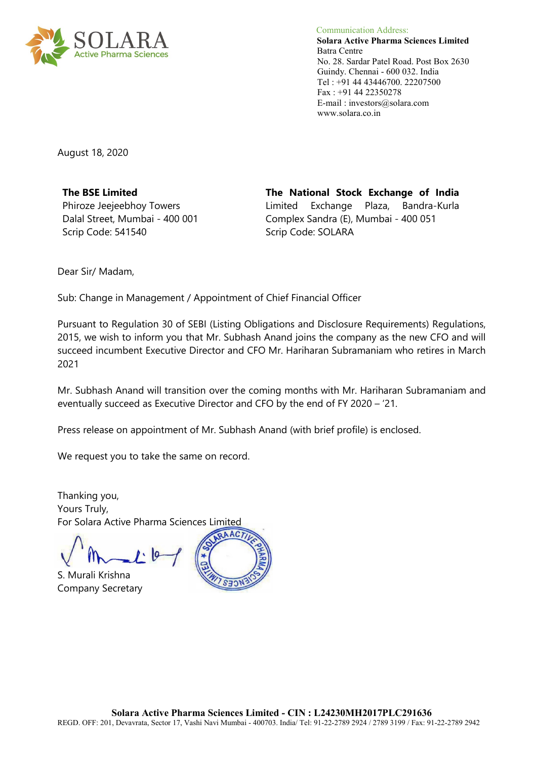

 Communication Address: **Solara Active Pharma Sciences Limited** Batra Centre No. 28. Sardar Patel Road. Post Box 2630 Guindy. Chennai - 600 032. India Tel : +91 44 43446700. 22207500 Fax : +91 44 22350278 E-mail : investors@solara.com www.solara.co.in

August 18, 2020

**The BSE Limited**  Phiroze Jeejeebhoy Towers Dalal Street, Mumbai - 400 001 Scrip Code: 541540

**The National Stock Exchange of India**  Limited Exchange Plaza, Bandra-Kurla Complex Sandra (E), Mumbai - 400 051 Scrip Code: SOLARA

Dear Sir/ Madam,

Sub: Change in Management / Appointment of Chief Financial Officer

Pursuant to Regulation 30 of SEBI (Listing Obligations and Disclosure Requirements) Regulations, 2015, we wish to inform you that Mr. Subhash Anand joins the company as the new CFO and will succeed incumbent Executive Director and CFO Mr. Hariharan Subramaniam who retires in March 2021

Mr. Subhash Anand will transition over the coming months with Mr. Hariharan Subramaniam and eventually succeed as Executive Director and CFO by the end of FY 2020 – '21.

Press release on appointment of Mr. Subhash Anand (with brief profile) is enclosed.

We request you to take the same on record.

Thanking you, Yours Truly, For Solara Active Pharma Sciences Limited

S. Murali Krishna Company Secretary